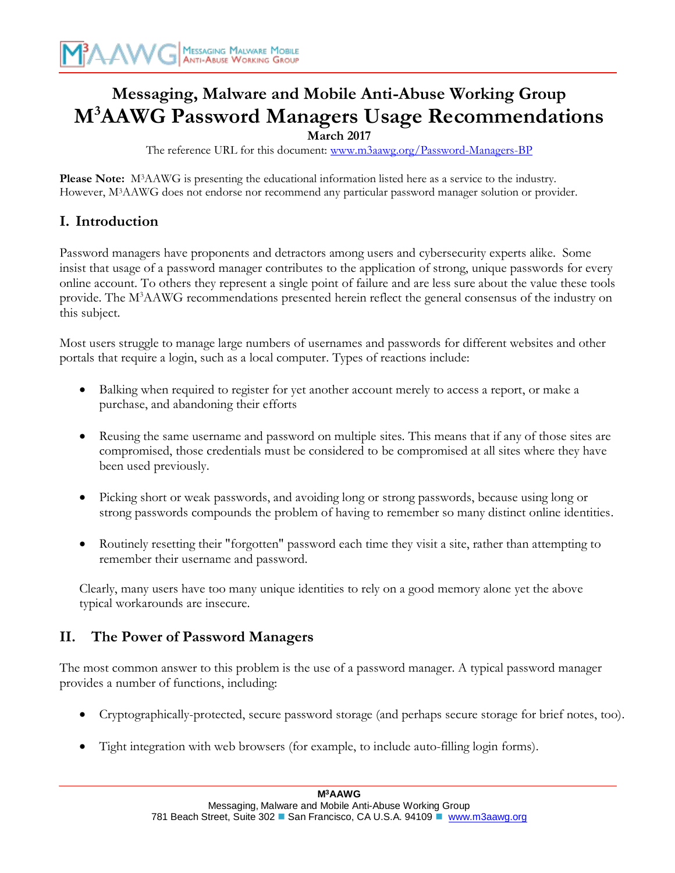# **Messaging, Malware and Mobile Anti-Abuse Working Group M<sup>3</sup>AAWG Password Managers Usage Recommendations**

**March 2017**

The reference URL for this document: [www.m3aawg.org/Password-Managers-BP](http://www.m3aawg.org/DDoS-Recommendations-Business)

**Please Note:** M3AAWG is presenting the educational information listed here as a service to the industry. However, M3AAWG does not endorse nor recommend any particular password manager solution or provider.

# **I. Introduction**

Password managers have proponents and detractors among users and cybersecurity experts alike. Some insist that usage of a password manager contributes to the application of strong, unique passwords for every online account. To others they represent a single point of failure and are less sure about the value these tools provide. The M<sup>3</sup>AAWG recommendations presented herein reflect the general consensus of the industry on this subject.

Most users struggle to manage large numbers of usernames and passwords for different websites and other portals that require a login, such as a local computer. Types of reactions include:

- Balking when required to register for yet another account merely to access a report, or make a purchase, and abandoning their efforts
- Reusing the same username and password on multiple sites. This means that if any of those sites are compromised, those credentials must be considered to be compromised at all sites where they have been used previously.
- Picking short or weak passwords, and avoiding long or strong passwords, because using long or strong passwords compounds the problem of having to remember so many distinct online identities.
- Routinely resetting their "forgotten" password each time they visit a site, rather than attempting to remember their username and password.

Clearly, many users have too many unique identities to rely on a good memory alone yet the above typical workarounds are insecure.

# **II. The Power of Password Managers**

The most common answer to this problem is the use of a password manager. A typical password manager provides a number of functions, including:

- Cryptographically-protected, secure password storage (and perhaps secure storage for brief notes, too).
- Tight integration with web browsers (for example, to include auto-filling login forms).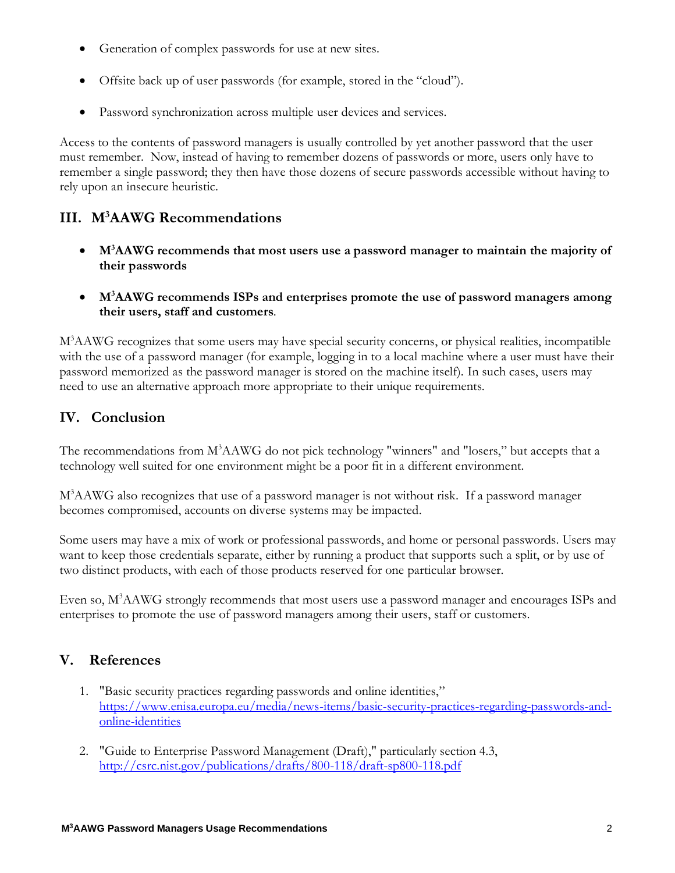- Generation of complex passwords for use at new sites.
- Offsite back up of user passwords (for example, stored in the "cloud").
- Password synchronization across multiple user devices and services.

Access to the contents of password managers is usually controlled by yet another password that the user must remember. Now, instead of having to remember dozens of passwords or more, users only have to remember a single password; they then have those dozens of secure passwords accessible without having to rely upon an insecure heuristic.

## **III. M<sup>3</sup>AAWG Recommendations**

- **M<sup>3</sup>AAWG recommends that most users use a password manager to maintain the majority of their passwords**
- **M<sup>3</sup>AAWG recommends ISPs and enterprises promote the use of password managers among their users, staff and customers**.

M<sup>3</sup>AAWG recognizes that some users may have special security concerns, or physical realities, incompatible with the use of a password manager (for example, logging in to a local machine where a user must have their password memorized as the password manager is stored on the machine itself). In such cases, users may need to use an alternative approach more appropriate to their unique requirements.

### **IV. Conclusion**

The recommendations from M<sup>3</sup>AAWG do not pick technology "winners" and "losers," but accepts that a technology well suited for one environment might be a poor fit in a different environment.

M<sup>3</sup>AAWG also recognizes that use of a password manager is not without risk. If a password manager becomes compromised, accounts on diverse systems may be impacted.

Some users may have a mix of work or professional passwords, and home or personal passwords. Users may want to keep those credentials separate, either by running a product that supports such a split, or by use of two distinct products, with each of those products reserved for one particular browser.

Even so, M<sup>3</sup>AAWG strongly recommends that most users use a password manager and encourages ISPs and enterprises to promote the use of password managers among their users, staff or customers.

### **V. References**

- 1. "Basic security practices regarding passwords and online identities," [https://www.enisa.europa.eu/media/news-items/basic-security-practices-regarding-passwords-and](https://www.enisa.europa.eu/media/news-items/basic-security-practices-regarding-passwords-and-online-identities)[online-identities](https://www.enisa.europa.eu/media/news-items/basic-security-practices-regarding-passwords-and-online-identities)
- 2. "Guide to Enterprise Password Management (Draft)," particularly section 4.3, <http://csrc.nist.gov/publications/drafts/800-118/draft-sp800-118.pdf>